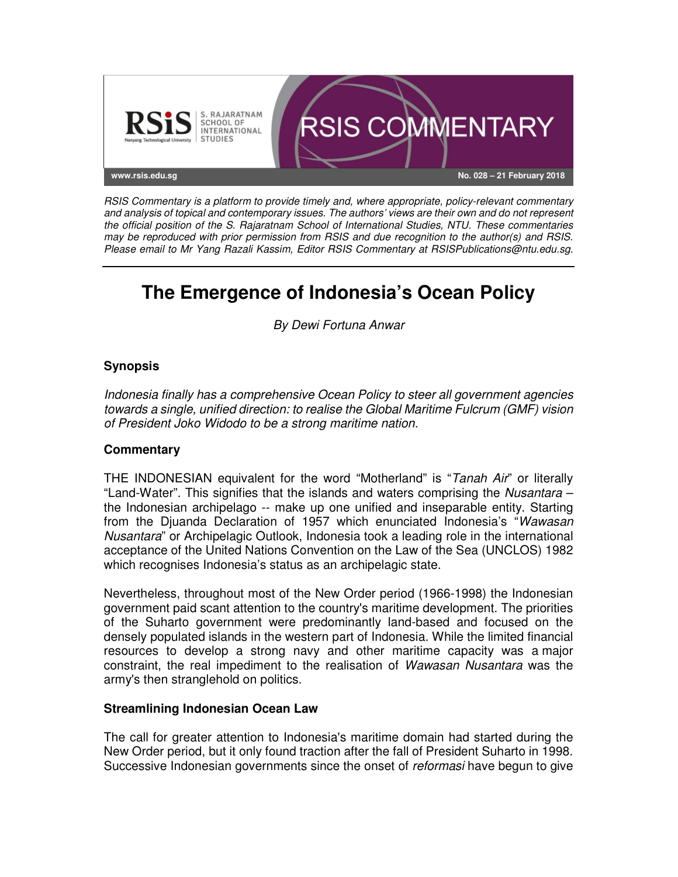

*RSIS Commentary is a platform to provide timely and, where appropriate, policy-relevant commentary and analysis of topical and contemporary issues. The authors' views are their own and do not represent the official position of the S. Rajaratnam School of International Studies, NTU. These commentaries may be reproduced with prior permission from RSIS and due recognition to the author(s) and RSIS. Please email to Mr Yang Razali Kassim, Editor RSIS Commentary at RSISPublications@ntu.edu.sg.* 

# **The Emergence of Indonesia's Ocean Policy**

*By Dewi Fortuna Anwar*

## **Synopsis**

*Indonesia finally has a comprehensive Ocean Policy to steer all government agencies towards a single, unified direction: to realise the Global Maritime Fulcrum (GMF) vision of President Joko Widodo to be a strong maritime nation.* 

## **Commentary**

THE INDONESIAN equivalent for the word "Motherland" is "*Tanah Air*" or literally "Land-Water". This signifies that the islands and waters comprising the *Nusantara* – the Indonesian archipelago -- make up one unified and inseparable entity. Starting from the Djuanda Declaration of 1957 which enunciated Indonesia's "*Wawasan Nusantara*" or Archipelagic Outlook, Indonesia took a leading role in the international acceptance of the United Nations Convention on the Law of the Sea (UNCLOS) 1982 which recognises Indonesia's status as an archipelagic state.

Nevertheless, throughout most of the New Order period (1966-1998) the Indonesian government paid scant attention to the country's maritime development. The priorities of the Suharto government were predominantly land-based and focused on the densely populated islands in the western part of Indonesia. While the limited financial resources to develop a strong navy and other maritime capacity was a major constraint, the real impediment to the realisation of *Wawasan Nusantara* was the army's then stranglehold on politics.

#### **Streamlining Indonesian Ocean Law**

The call for greater attention to Indonesia's maritime domain had started during the New Order period, but it only found traction after the fall of President Suharto in 1998. Successive Indonesian governments since the onset of *reformasi* have begun to give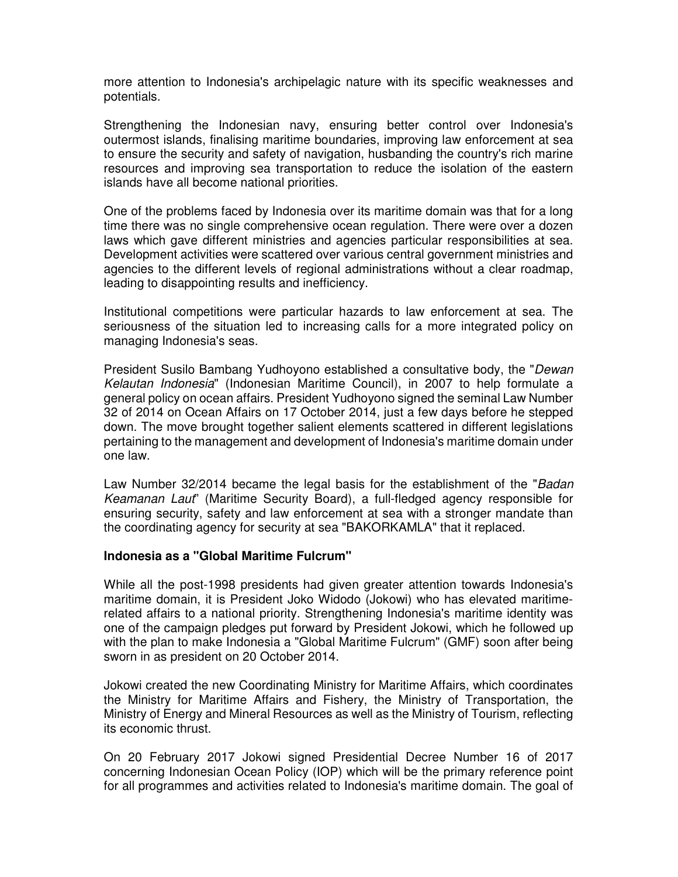more attention to Indonesia's archipelagic nature with its specific weaknesses and potentials.

Strengthening the Indonesian navy, ensuring better control over Indonesia's outermost islands, finalising maritime boundaries, improving law enforcement at sea to ensure the security and safety of navigation, husbanding the country's rich marine resources and improving sea transportation to reduce the isolation of the eastern islands have all become national priorities.

One of the problems faced by Indonesia over its maritime domain was that for a long time there was no single comprehensive ocean regulation. There were over a dozen laws which gave different ministries and agencies particular responsibilities at sea. Development activities were scattered over various central government ministries and agencies to the different levels of regional administrations without a clear roadmap, leading to disappointing results and inefficiency.

Institutional competitions were particular hazards to law enforcement at sea. The seriousness of the situation led to increasing calls for a more integrated policy on managing Indonesia's seas.

President Susilo Bambang Yudhoyono established a consultative body, the "*Dewan Kelautan Indonesia*" (Indonesian Maritime Council), in 2007 to help formulate a general policy on ocean affairs. President Yudhoyono signed the seminal Law Number 32 of 2014 on Ocean Affairs on 17 October 2014, just a few days before he stepped down. The move brought together salient elements scattered in different legislations pertaining to the management and development of Indonesia's maritime domain under one law.

Law Number 32/2014 became the legal basis for the establishment of the "*Badan Keamanan Laut*" (Maritime Security Board), a full-fledged agency responsible for ensuring security, safety and law enforcement at sea with a stronger mandate than the coordinating agency for security at sea "BAKORKAMLA" that it replaced.

#### **Indonesia as a "Global Maritime Fulcrum"**

While all the post-1998 presidents had given greater attention towards Indonesia's maritime domain, it is President Joko Widodo (Jokowi) who has elevated maritimerelated affairs to a national priority. Strengthening Indonesia's maritime identity was one of the campaign pledges put forward by President Jokowi, which he followed up with the plan to make Indonesia a "Global Maritime Fulcrum" (GMF) soon after being sworn in as president on 20 October 2014.

Jokowi created the new Coordinating Ministry for Maritime Affairs, which coordinates the Ministry for Maritime Affairs and Fishery, the Ministry of Transportation, the Ministry of Energy and Mineral Resources as well as the Ministry of Tourism, reflecting its economic thrust.

On 20 February 2017 Jokowi signed Presidential Decree Number 16 of 2017 concerning Indonesian Ocean Policy (IOP) which will be the primary reference point for all programmes and activities related to Indonesia's maritime domain. The goal of